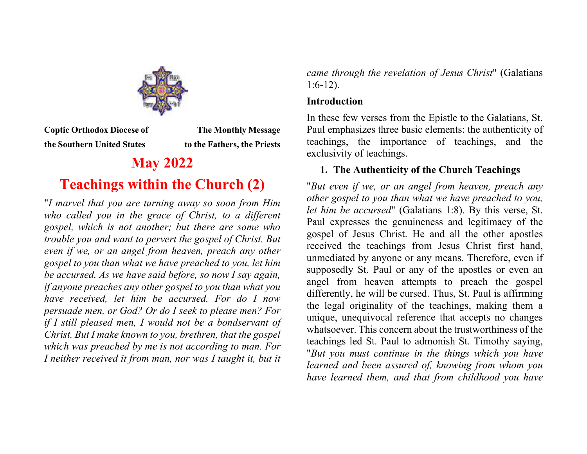

**Coptic Orthodox Diocese of The Monthly Message the Southern United States Traveller is to the Fathers, the Priests** 

# **May 2022 Teachings within the Church (2)**

"*I marvel that you are turning away so soon from Him who called you in the grace of Christ, to a different gospel, which is not another; but there are some who trouble you and want to pervert the gospel of Christ. But even if we, or an angel from heaven, preach any other gospel to you than what we have preached to you, let him be accursed. As we have said before, so now I say again, if anyone preaches any other gospel to you than what you have received, let him be accursed. For do I now persuade men, or God? Or do I seek to please men? For if I still pleased men, I would not be a bondservant of Christ. But I make known to you, brethren, that the gospel which was preached by me is not according to man. For I* neither received it from man, nor was I taught it, but it

*came through the revelation of Jesus Christ*" (Galatians 1:6-12).

### **Introduction**

In these few verses from the Epistle to the Galatians, St. Paul emphasizes three basic elements: the authenticity of teachings, the importance of teachings, and the exclusivity of teachings.

# **1. The Authenticity of the Church Teachings**

"*But even if we, or an angel from heaven, preach any other gospel to you than what we have preached to you, let him be accursed*" (Galatians 1:8). By this verse, St. Paul expresses the genuineness and legitimacy of the gospel of Jesus Christ. He and all the other apostles received the teachings from Jesus Christ first hand, unmediated by anyone or any means. Therefore, even if supposedly St. Paul or any of the apostles or even an angel from heaven attempts to preach the gospel differently, he will be cursed. Thus, St. Paul is affirming the legal originality of the teachings, making them a unique, unequivocal reference that accepts no changes whatsoever. This concern about the trustworthiness of the teachings led St. Paul to admonish St. Timothy saying, "*But you must continue in the things which you have learned and been assured of, knowing from whom you have learned them, and that from childhood you have*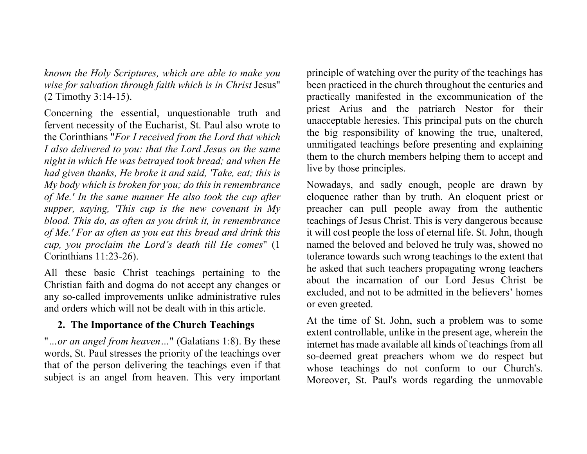*known the Holy Scriptures, which are able to make you wise for salvation through faith which is in Christ* Jesus" (2 Timothy 3:14-15).

Concerning the essential, unquestionable truth and fervent necessity of the Eucharist, St. Paul also wrote to the Corinthians "*For I received from the Lord that which I also delivered to you: that the Lord Jesus on the same night in which He was betrayed took bread; and when He had given thanks, He broke it and said, 'Take, eat; this is My body which is broken for you; do this in remembrance of Me.' In the same manner He also took the cup after supper, saying, 'This cup is the new covenant in My blood. This do, as often as you drink it, in remembrance of Me.' For as often as you eat this bread and drink this cup, you proclaim the Lord's death till He comes*" (1 Corinthians 11:23-26).

All these basic Christ teachings pertaining to the Christian faith and dogma do not accept any changes or any so-called improvements unlike administrative rules and orders which will not be dealt with in this article.

## **2. The Importance of the Church Teachings**

"*…or an angel from heaven…*" (Galatians 1:8). By these words, St. Paul stresses the priority of the teachings over that of the person delivering the teachings even if that subject is an angel from heaven. This very important principle of watching over the purity of the teachings has been practiced in the church throughout the centuries and practically manifested in the excommunication of the priest Arius and the patriarch Nestor for their unacceptable heresies. This principal puts on the church the big responsibility of knowing the true, unaltered, unmitigated teachings before presenting and explaining them to the church members helping them to accept and live by those principles.

Nowadays, and sadly enough, people are drawn by eloquence rather than by truth. An eloquent priest or preacher can pull people away from the authentic teachings of Jesus Christ. This is very dangerous because it will cost people the loss of eternal life. St. John, though named the beloved and beloved he truly was, showed no tolerance towards such wrong teachings to the extent that he asked that such teachers propagating wrong teachers about the incarnation of our Lord Jesus Christ be excluded, and not to be admitted in the believers' homes or even greeted.

At the time of St. John, such a problem was to some extent controllable, unlike in the present age, wherein the internet has made available all kinds of teachings from all so-deemed great preachers whom we do respect but whose teachings do not conform to our Church's. Moreover, St. Paul's words regarding the unmovable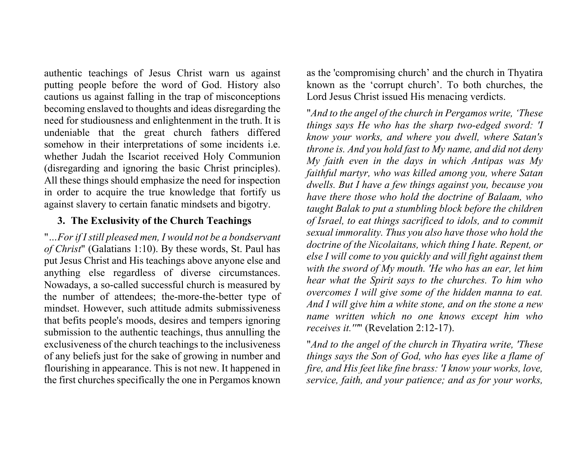authentic teachings of Jesus Christ warn us against putting people before the word of God. History also cautions us against falling in the trap of misconceptions becoming enslaved to thoughts and ideas disregarding the need for studiousness and enlightenment in the truth. It is undeniable that the great church fathers differed somehow in their interpretations of some incidents i.e. whether Judah the Iscariot received Holy Communion (disregarding and ignoring the basic Christ principles). All these things should emphasize the need for inspection in order to acquire the true knowledge that fortify us against slavery to certain fanatic mindsets and bigotry.

#### **3. The Exclusivity of the Church Teachings**

"*…For if I still pleased men, I would not be a bondservant of Christ*" (Galatians 1:10). By these words, St. Paul has put Jesus Christ and His teachings above anyone else and anything else regardless of diverse circumstances. Nowadays, a so-called successful church is measured by the number of attendees; the-more-the-better type of mindset. However, such attitude admits submissiveness that befits people's moods, desires and tempers ignoring submission to the authentic teachings, thus annulling the exclusiveness of the church teachings to the inclusiveness of any beliefs just for the sake of growing in number and flourishing in appearance. This is not new. It happened in the first churches specifically the one in Pergamos known

as the 'compromising church' and the church in Thyatira known as the 'corrupt church'. To both churches, the Lord Jesus Christ issued His menacing verdicts.

"*And to the angel of the church in Pergamos write, 'These things says He who has the sharp two-edged sword: 'I know your works, and where you dwell, where Satan's throne is. And you hold fast to My name, and did not deny My faith even in the days in which Antipas was My faithful martyr, who was killed among you, where Satan dwells. But I have a few things against you, because you have there those who hold the doctrine of Balaam, who taught Balak to put a stumbling block before the children of Israel, to eat things sacrificed to idols, and to commit sexual immorality. Thus you also have those who hold the doctrine of the Nicolaitans, which thing I hate. Repent, or else I will come to you quickly and will fight against them with the sword of My mouth. 'He who has an ear, let him hear what the Spirit says to the churches. To him who overcomes I will give some of the hidden manna to eat. And I will give him a white stone, and on the stone a new name written which no one knows except him who receives it.'''*" (Revelation 2:12-17).

"*And to the angel of the church in Thyatira write, 'These things says the Son of God, who has eyes like a flame of fire, and His feet like fine brass: 'I know your works, love, service, faith, and your patience; and as for your works,*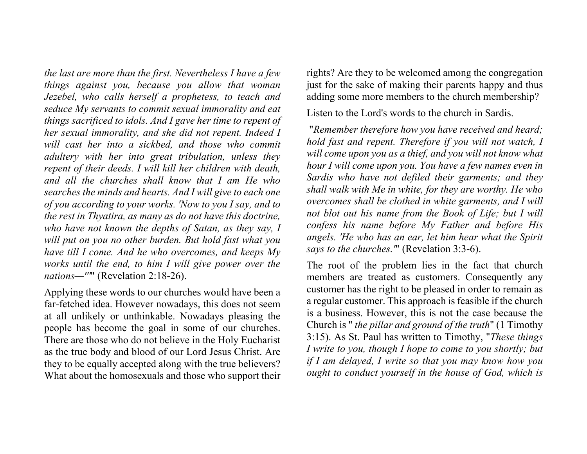*the last are more than the first. Nevertheless I have a few things against you, because you allow that woman Jezebel, who calls herself a prophetess, to teach and seduce My servants to commit sexual immorality and eat things sacrificed to idols. And I gave her time to repent of her sexual immorality, and she did not repent. Indeed I will cast her into a sickbed, and those who commit adultery with her into great tribulation, unless they repent of their deeds. I will kill her children with death, and all the churches shall know that I am He who searches the minds and hearts. And I will give to each one of you according to your works. 'Now to you I say, and to the rest in Thyatira, as many as do not have this doctrine, who have not known the depths of Satan, as they say, I will put on you no other burden. But hold fast what you have till I come. And he who overcomes, and keeps My works until the end, to him I will give power over the nations—'''*" (Revelation 2:18-26).

Applying these words to our churches would have been a far-fetched idea. However nowadays, this does not seem at all unlikely or unthinkable. Nowadays pleasing the people has become the goal in some of our churches. There are those who do not believe in the Holy Eucharist as the true body and blood of our Lord Jesus Christ. Are they to be equally accepted along with the true believers? What about the homosexuals and those who support their rights? Are they to be welcomed among the congregation just for the sake of making their parents happy and thus adding some more members to the church membership?

Listen to the Lord's words to the church in Sardis.

 "*Remember therefore how you have received and heard; hold fast and repent. Therefore if you will not watch, I will come upon you as a thief, and you will not know what hour I will come upon you. You have a few names even in Sardis who have not defiled their garments; and they shall walk with Me in white, for they are worthy. He who overcomes shall be clothed in white garments, and I will not blot out his name from the Book of Life; but I will confess his name before My Father and before His angels. 'He who has an ear, let him hear what the Spirit says to the churches.'*" (Revelation 3:3-6).

The root of the problem lies in the fact that church members are treated as customers. Consequently any customer has the right to be pleased in order to remain as a regular customer. This approach is feasible if the church is a business. However, this is not the case because the Church is " *the pillar and ground of the truth*" (1 Timothy 3:15). As St. Paul has written to Timothy, "*These things I write to you, though I hope to come to you shortly; but if I am delayed, I write so that you may know how you ought to conduct yourself in the house of God, which is*